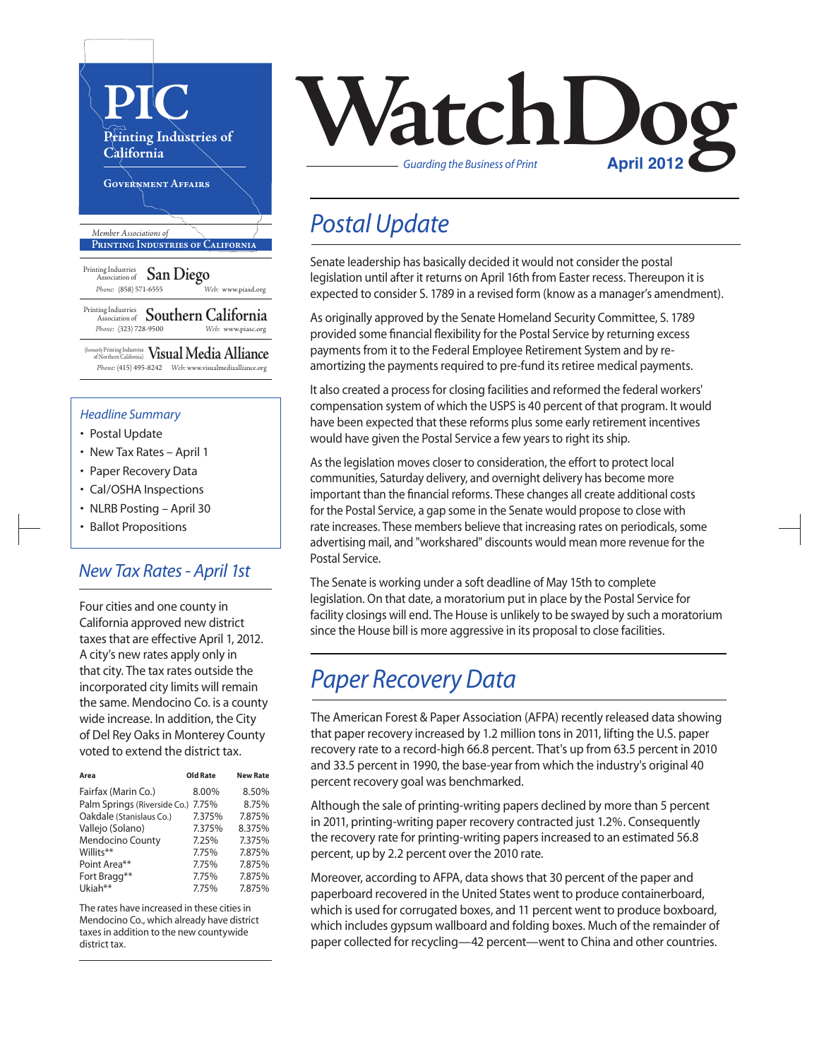

#### *Headline Summary*

- Postal Update
- New Tax Rates April 1
- Paper Recovery Data
- Cal/OSHA Inspections
- NLRB Posting April 30
- Ballot Propositions

### *New Tax Rates - April 1st*

Four cities and one county in California approved new district taxes that are effective April 1, 2012. A city's new rates apply only in that city. The tax rates outside the incorporated city limits will remain the same. Mendocino Co. is a county wide increase. In addition, the City of Del Rey Oaks in Monterey County voted to extend the district tax.

| Area                         | Old Rate | <b>New Rate</b> |
|------------------------------|----------|-----------------|
| Fairfax (Marin Co.)          | 8.00%    | 8.50%           |
| Palm Springs (Riverside Co.) | 7.75%    | 8.75%           |
| Oakdale (Stanislaus Co.)     | 7.375%   | 7.875%          |
| Vallejo (Solano)             | 7.375%   | 8.375%          |
| <b>Mendocino County</b>      | 7.25%    | 7.375%          |
| Willits**                    | 7.75%    | 7.875%          |
| Point Area**                 | 7.75%    | 7.875%          |
| Fort Bragg**                 | 7.75%    | 7.875%          |
| Ukiah**                      | 7.75%    | 7.875%          |

The rates have increased in these cities in Mendocino Co., which already have district taxes in addition to the new countywide district tax.



## *Postal Update*

Senate leadership has basically decided it would not consider the postal legislation until after it returns on April 16th from Easter recess. Thereupon it is expected to consider S. 1789 in a revised form (know as a manager's amendment).

As originally approved by the Senate Homeland Security Committee, S. 1789 provided some financial flexibility for the Postal Service by returning excess payments from it to the Federal Employee Retirement System and by reamortizing the payments required to pre-fund its retiree medical payments.

It also created a process for closing facilities and reformed the federal workers' compensation system of which the USPS is 40 percent of that program. It would have been expected that these reforms plus some early retirement incentives would have given the Postal Service a few years to right its ship.

As the legislation moves closer to consideration, the effort to protect local communities, Saturday delivery, and overnight delivery has become more important than the financial reforms. These changes all create additional costs for the Postal Service, a gap some in the Senate would propose to close with rate increases. These members believe that increasing rates on periodicals, some advertising mail, and "workshared" discounts would mean more revenue for the Postal Service.

The Senate is working under a soft deadline of May 15th to complete legislation. On that date, a moratorium put in place by the Postal Service for facility closings will end. The House is unlikely to be swayed by such a moratorium since the House bill is more aggressive in its proposal to close facilities.

## *Paper Recovery Data*

The American Forest & Paper Association (AFPA) recently released data showing that paper recovery increased by 1.2 million tons in 2011, lifting the U.S. paper recovery rate to a record-high 66.8 percent. That's up from 63.5 percent in 2010 and 33.5 percent in 1990, the base-year from which the industry's original 40 percent recovery goal was benchmarked.

Although the sale of printing-writing papers declined by more than 5 percent in 2011, printing-writing paper recovery contracted just 1.2%. Consequently the recovery rate for printing-writing papers increased to an estimated 56.8 percent, up by 2.2 percent over the 2010 rate.

Moreover, according to AFPA, data shows that 30 percent of the paper and paperboard recovered in the United States went to produce containerboard, which is used for corrugated boxes, and 11 percent went to produce boxboard, which includes gypsum wallboard and folding boxes. Much of the remainder of paper collected for recycling—42 percent—went to China and other countries.